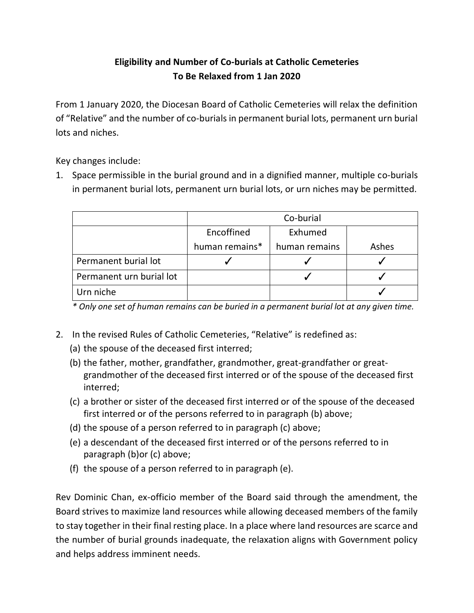## **Eligibility and Number of Co-burials at Catholic Cemeteries To Be Relaxed from 1 Jan 2020**

From 1 January 2020, the Diocesan Board of Catholic Cemeteries will relax the definition of "Relative" and the number of co-burials in permanent burial lots, permanent urn burial lots and niches.

Key changes include:

1. Space permissible in the burial ground and in a dignified manner, multiple co-burials in permanent burial lots, permanent urn burial lots, or urn niches may be permitted.

|                          | Co-burial      |               |       |
|--------------------------|----------------|---------------|-------|
|                          | Encoffined     | Exhumed       |       |
|                          | human remains* | human remains | Ashes |
| Permanent burial lot     |                |               |       |
| Permanent urn burial lot |                |               |       |
| Urn niche                |                |               |       |

*\* Only one set of human remains can be buried in a permanent burial lot at any given time.*

- 2. In the revised Rules of Catholic Cemeteries, "Relative" is redefined as:
	- (a) the spouse of the deceased first interred;
	- (b) the father, mother, grandfather, grandmother, great-grandfather or greatgrandmother of the deceased first interred or of the spouse of the deceased first interred;
	- (c) a brother or sister of the deceased first interred or of the spouse of the deceased first interred or of the persons referred to in paragraph (b) above;
	- (d) the spouse of a person referred to in paragraph (c) above;
	- (e) a descendant of the deceased first interred or of the persons referred to in paragraph (b)or (c) above;
	- (f) the spouse of a person referred to in paragraph (e).

Rev Dominic Chan, ex-officio member of the Board said through the amendment, the Board strives to maximize land resources while allowing deceased members of the family to stay together in their final resting place. In a place where land resources are scarce and the number of burial grounds inadequate, the relaxation aligns with Government policy and helps address imminent needs.